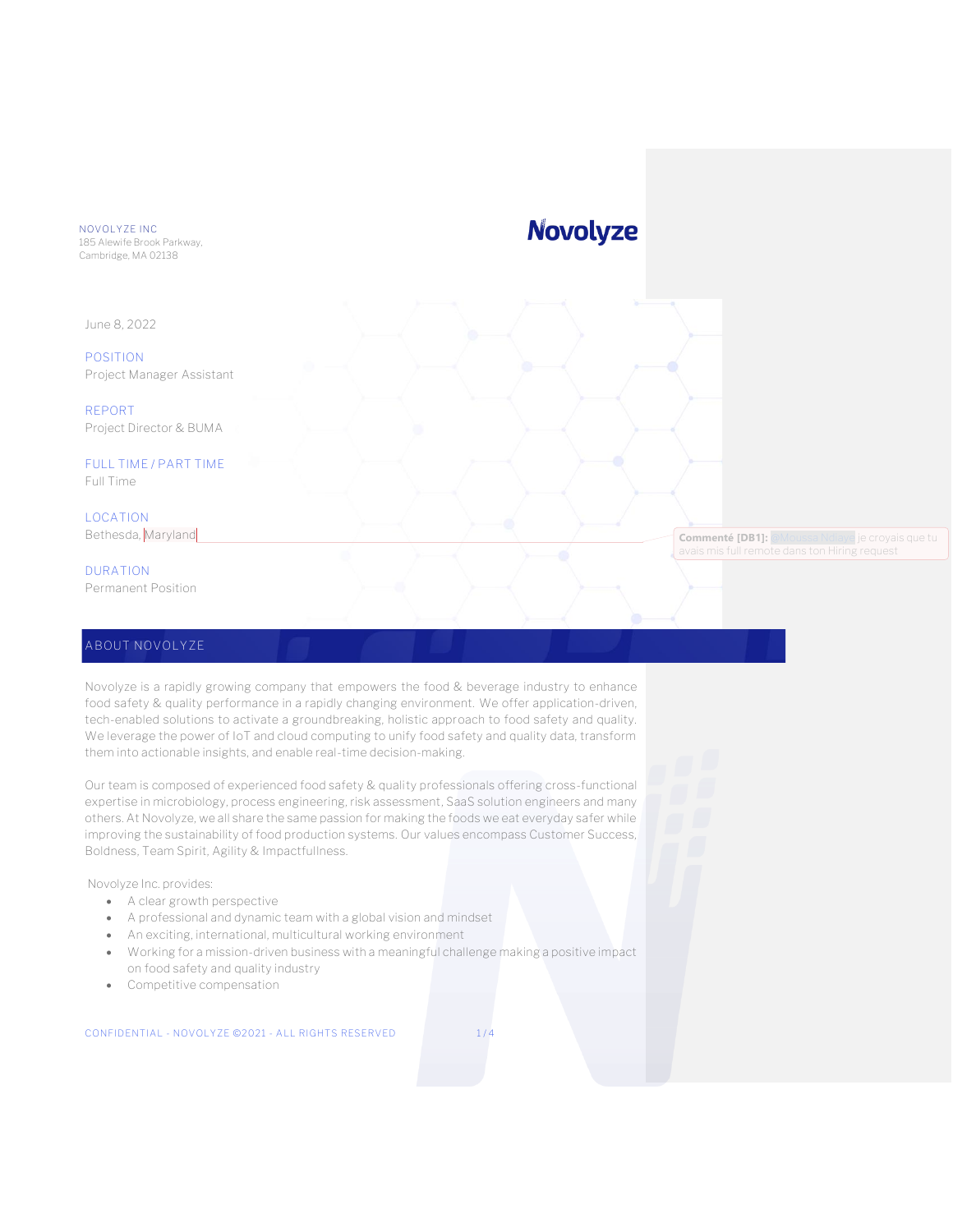NOVOLYZE INC

185 Alewife Brook Parkway, Cambridge, MA 02138

June 8, 2022

**POSITION** Project Manager Assistant

**REPORT**

Project Director & BUMA

**FULL TIME / PART TIME** Full Time

**LOCATION** Bethesda, Maryland

**DURATION** Permanent Position

### **ABOUT NOVOLYZE**

Novolyze is a rapidly growing company that empowers the food & beverage industry to enhance food safety & quality performance in a rapidly changing environment. We offer application-driven, tech-enabled solutions to activate a groundbreaking, holistic approach to food safety and quality. We leverage the power of IoT and cloud computing to unify food safety and quality data, transform them into actionable insights, and enable real-time decision-making.

Our team is composed of experienced food safety & quality professionals offering cross-functional expertise in microbiology, process engineering, risk assessment, SaaS solution engineers and many others. At Novolyze, we all share the same passion for making the foods we eat everyday safer while improving the sustainability of food production systems. Our values encompass Customer Success, Boldness, Team Spirit, Agility & Impactfullness.

Novolyze Inc. provides:

- A clear growth perspective
- A professional and dynamic team with a global vision and mindset
- An exciting, international, multicultural working environment
- Working for a mission-driven business with a meaningful challenge making a positive impact on food safety and quality industry
- Competitive compensation

CONFIDENTIAL - NOVOLYZE ©2021 - ALL RIGHTS RESERVED 1/4

**Novolyze** 

**Commenté [DB1]:** [@Moussa Ndiaye](mailto:Moussa.Ndiaye@novolyze.com) je croyais que tu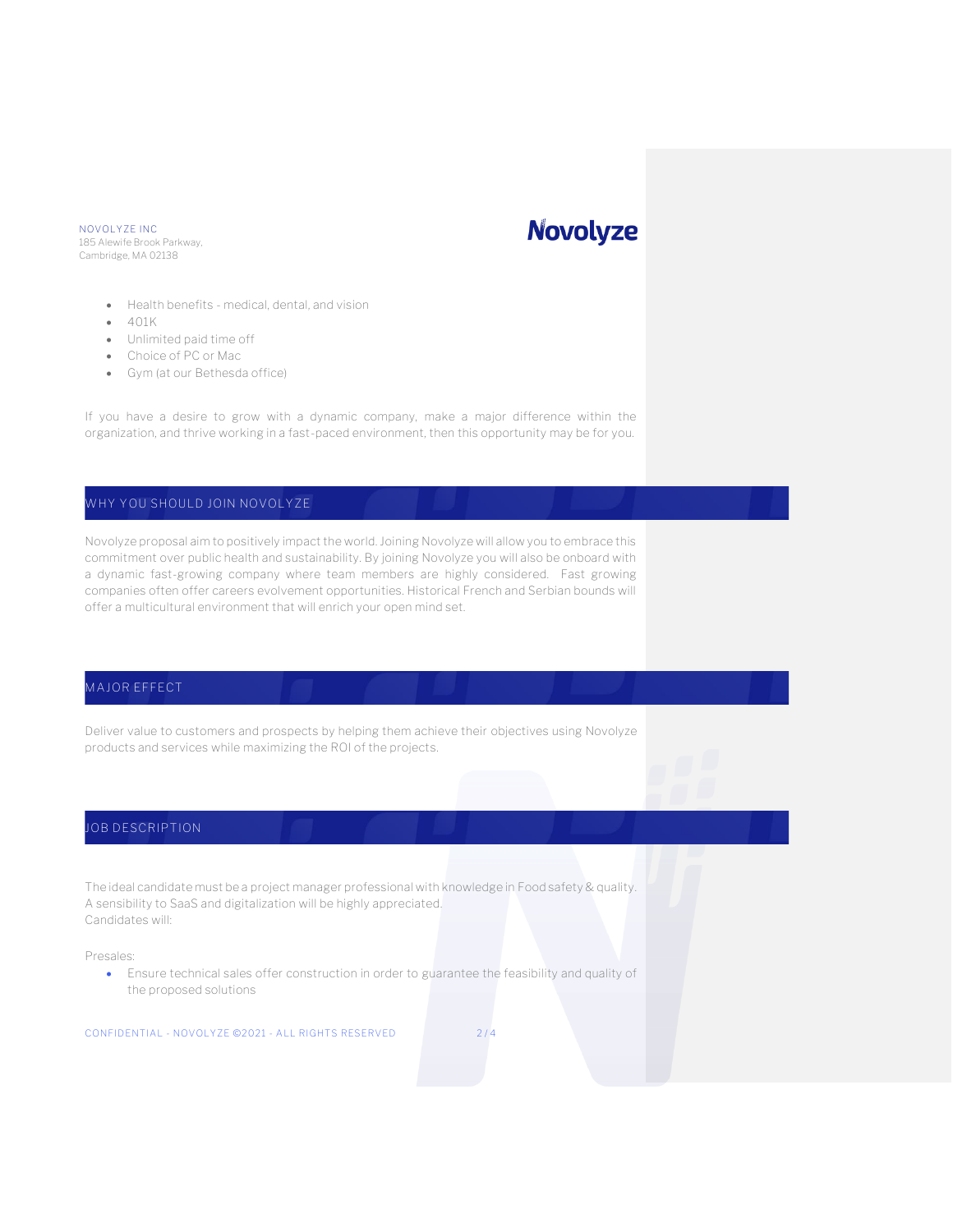#### NOVOLYZE INC 185 Alewife Brook Parkway, Cambridge, MA 02138

# **Novolyze**

- Health benefits medical, dental, and vision
- 401K
- Unlimited paid time off
- Choice of PC or Mac
- Gym (at our Bethesda office)

If you have a desire to grow with a dynamic company, make a major difference within the organization, and thrive working in a fast-paced environment, then this opportunity may be for you.

## **WHY YOU SHOULD JOIN NOVOLYZE**

Novolyze proposal aim to positively impact the world. Joining Novolyze will allow you to embrace this commitment over public health and sustainability. By joining Novolyze you will also be onboard with a dynamic fast-growing company where team members are highly considered. Fast growing companies often offer careers evolvement opportunities. Historical French and Serbian bounds will offer a multicultural environment that will enrich your open mind set.

# **MAJOR EFFECT**

Deliver value to customers and prospects by helping them achieve their objectives using Novolyze products and services while maximizing the ROI of the projects.

# **JOB DESCRIPTION**

The ideal candidate must be a project manager professional with knowledge in Food safety & quality. A sensibility to SaaS and digitalization will be highly appreciated. Candidates will:

Presales:

• Ensure technical sales offer construction in order to guarantee the feasibility and quality of the proposed solutions

CONFIDENTIAL - NOVOLYZE ©2021 - ALL RIGHTS RESERVED 2/4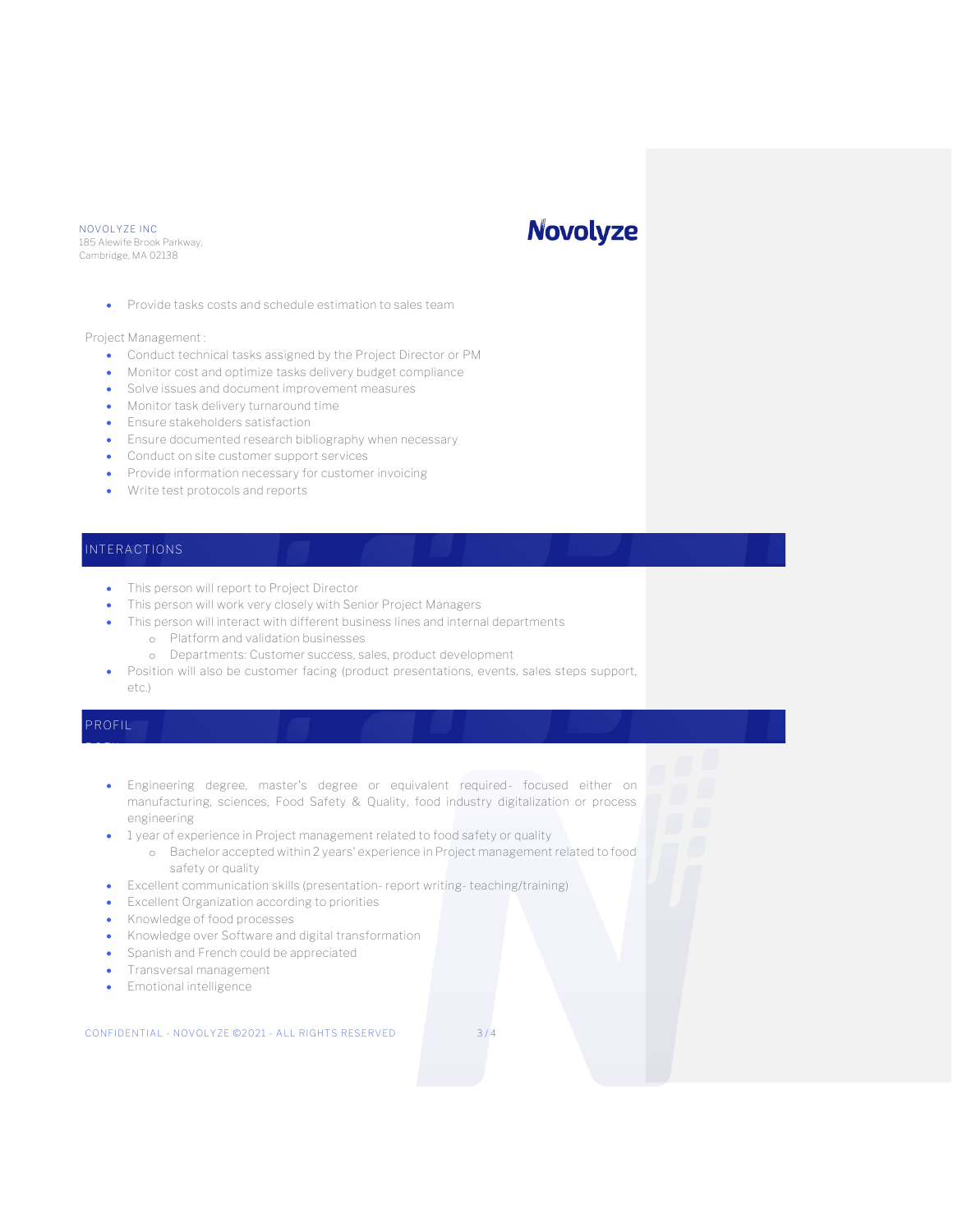#### NOVOLYZE INC 185 Alewife Brook Parkway, Cambridge, MA 02138

# **Novolyze**

• Provide tasks costs and schedule estimation to sales team

Project Management :

- Conduct technical tasks assigned by the Project Director or PM
- Monitor cost and optimize tasks delivery budget compliance
- Solve issues and document improvement measures
- Monitor task delivery turnaround time
- Ensure stakeholders satisfaction
- Ensure documented research bibliography when necessary
- Conduct on site customer support services
- Provide information necessary for customer invoicing
- Write test protocols and reports

### **INTERACTIONS**

- This person will report to Project Director
- This person will work very closely with Senior Project Managers
- This person will interact with different business lines and internal departments
	- o Platform and validation businesses
	- o Departments: Customer success, sales, product development
- Position will also be customer facing (product presentations, events, sales steps support,
- etc.)

# **PROFIL ROFIL**

- Engineering degree, master's degree or equivalent required- focused either on manufacturing, sciences, Food Safety & Quality, food industry digitalization or process engineering
- 1 year of experience in Project management related to food safety or quality
	- o Bachelor accepted within 2 years' experience in Project management related to food safety or quality
- Excellent communication skills (presentation- report writing- teaching/training)
- Excellent Organization according to priorities
- Knowledge of food processes
- Knowledge over Software and digital transformation
- Spanish and French could be appreciated
- Transversal management
- Emotional intelligence

#### CONFIDENTIAL - NOVOLYZE ©2021 - ALL RIGHTS RESERVED 3 / 4